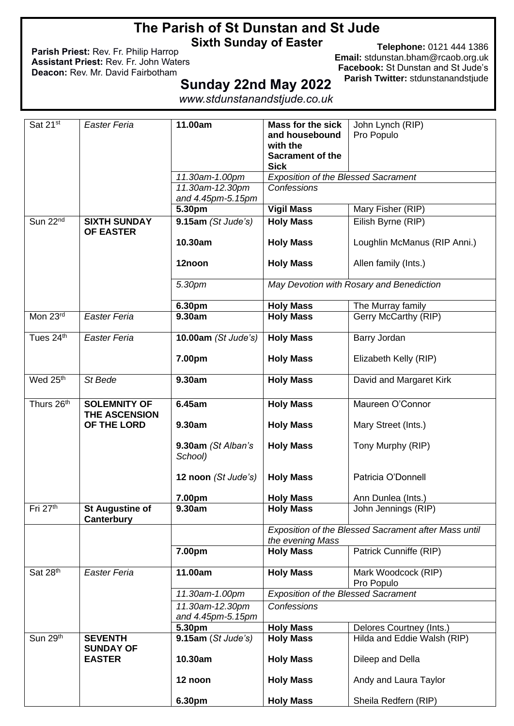# **The Parish of St Dunstan and St Jude Sixth Sunday of Easter**

**Parish Priest:** Rev. Fr. Philip Harrop **Assistant Priest:** Rev. Fr. John Waters **Deacon:** Rev. Mr. David Fairbotham

**Telephone:** 0121 444 1386 **Email:** [stdunstan.bham@rcaob.org.uk](mailto:stdunstan.bham@rcaob.org.uk) **Facebook:** St Dunstan and St Jude's **Parish Twitter:** stdunstanandstjude

# **Sunday 22nd May 2022**

*www.stdunstanandstjude.co.uk*

| Sat 21st                 | Easter Feria                                | 11.00am                       | <b>Mass for the sick</b>                   | John Lynch (RIP)                                     |
|--------------------------|---------------------------------------------|-------------------------------|--------------------------------------------|------------------------------------------------------|
|                          |                                             |                               | and housebound                             | Pro Populo                                           |
|                          |                                             |                               | with the                                   |                                                      |
|                          |                                             |                               | <b>Sacrament of the</b>                    |                                                      |
|                          |                                             |                               | <b>Sick</b>                                |                                                      |
|                          |                                             | 11.30am-1.00pm                | <b>Exposition of the Blessed Sacrament</b> |                                                      |
|                          |                                             | 11.30am-12.30pm               | Confessions                                |                                                      |
|                          |                                             | and 4.45pm-5.15pm             |                                            |                                                      |
|                          |                                             | 5.30pm                        | <b>Vigil Mass</b>                          | Mary Fisher (RIP)                                    |
| Sun 22 <sup>nd</sup>     | <b>SIXTH SUNDAY</b><br><b>OF EASTER</b>     | $9.15am$ (St Jude's)          | <b>Holy Mass</b>                           | Eilish Byrne (RIP)                                   |
|                          |                                             | 10.30am                       | <b>Holy Mass</b>                           | Loughlin McManus (RIP Anni.)                         |
|                          |                                             | 12noon                        | <b>Holy Mass</b>                           | Allen family (Ints.)                                 |
|                          |                                             | 5.30pm                        |                                            | May Devotion with Rosary and Benediction             |
|                          |                                             | 6.30pm                        | <b>Holy Mass</b>                           | The Murray family                                    |
| Mon 23rd                 | <b>Easter Feria</b>                         | 9.30am                        | <b>Holy Mass</b>                           | Gerry McCarthy (RIP)                                 |
|                          |                                             |                               |                                            |                                                      |
| Tues 24th                | Easter Feria                                | 10.00am (St Jude's)           | <b>Holy Mass</b>                           | Barry Jordan                                         |
|                          |                                             | 7.00pm                        | <b>Holy Mass</b>                           | Elizabeth Kelly (RIP)                                |
| Wed 25 <sup>th</sup>     | St Bede                                     | 9.30am                        | <b>Holy Mass</b>                           | David and Margaret Kirk                              |
| Thurs 26 <sup>th</sup>   | <b>SOLEMNITY OF</b><br><b>THE ASCENSION</b> | 6.45am                        | <b>Holy Mass</b>                           | Maureen O'Connor                                     |
|                          | OF THE LORD                                 | 9.30am                        | <b>Holy Mass</b>                           | Mary Street (Ints.)                                  |
|                          |                                             | 9.30am (St Alban's<br>School) | <b>Holy Mass</b>                           | Tony Murphy (RIP)                                    |
|                          |                                             | 12 noon (St Jude's)           | <b>Holy Mass</b>                           | Patricia O'Donnell                                   |
|                          |                                             | 7.00pm                        | <b>Holy Mass</b>                           | Ann Dunlea (Ints.)                                   |
| Fri 27th                 | <b>St Augustine of</b><br>Canterbury        | 9.30am                        | <b>Holy Mass</b>                           | John Jennings (RIP)                                  |
|                          |                                             |                               |                                            | Exposition of the Blessed Sacrament after Mass until |
|                          |                                             |                               | the evening Mass                           |                                                      |
|                          |                                             | 7.00pm                        | <b>Holy Mass</b>                           | Patrick Cunniffe (RIP)                               |
| Sat 28th                 | Easter Feria                                | 11.00am                       | <b>Holy Mass</b>                           | Mark Woodcock (RIP)<br>Pro Populo                    |
|                          |                                             | 11.30am-1.00pm                | <b>Exposition of the Blessed Sacrament</b> |                                                      |
|                          |                                             | 11.30am-12.30pm               | <b>Confessions</b>                         |                                                      |
|                          |                                             | and 4.45pm-5.15pm             |                                            |                                                      |
|                          |                                             | 5.30pm                        | <b>Holy Mass</b>                           | Delores Courtney (Ints.)                             |
| Sun $29^{\overline{th}}$ | <b>SEVENTH</b><br><b>SUNDAY OF</b>          | 9.15am (St Jude's)            | <b>Holy Mass</b>                           | Hilda and Eddie Walsh (RIP)                          |
|                          | <b>EASTER</b>                               | 10.30am                       | <b>Holy Mass</b>                           | Dileep and Della                                     |
|                          |                                             | 12 noon                       | <b>Holy Mass</b>                           | Andy and Laura Taylor                                |
|                          |                                             | 6.30pm                        | <b>Holy Mass</b>                           | Sheila Redfern (RIP)                                 |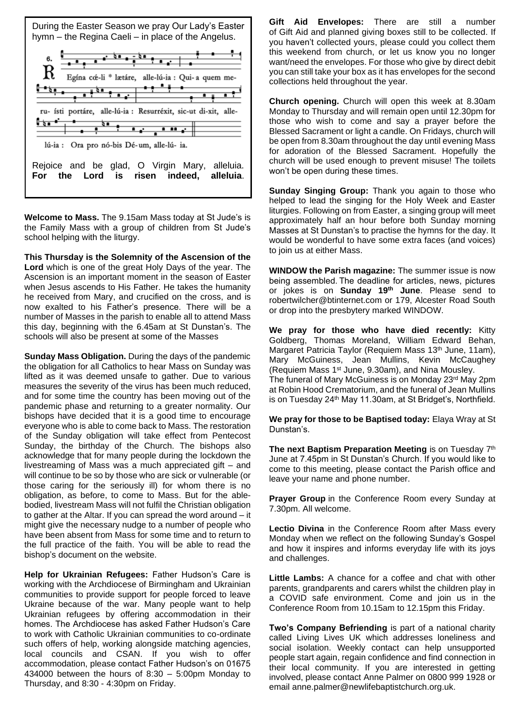

**Welcome to Mass.** The 9.15am Mass today at St Jude's is the Family Mass with a group of children from St Jude's school helping with the liturgy.

**This Thursday is the Solemnity of the Ascension of the Lord** which is one of the great Holy Days of the year. The Ascension is an important moment in the season of Easter when Jesus ascends to His Father. He takes the humanity he received from Mary, and crucified on the cross, and is now exalted to his Father's presence. There will be a number of Masses in the parish to enable all to attend Mass this day, beginning with the 6.45am at St Dunstan's. The schools will also be present at some of the Masses

**Sunday Mass Obligation.** During the days of the pandemic the obligation for all Catholics to hear Mass on Sunday was lifted as it was deemed unsafe to gather. Due to various measures the severity of the virus has been much reduced, and for some time the country has been moving out of the pandemic phase and returning to a greater normality. Our bishops have decided that it is a good time to encourage everyone who is able to come back to Mass. The restoration of the Sunday obligation will take effect from Pentecost Sunday, the birthday of the Church. The bishops also acknowledge that for many people during the lockdown the livestreaming of Mass was a much appreciated gift – and will continue to be so by those who are sick or vulnerable (or those caring for the seriously ill) for whom there is no obligation, as before, to come to Mass. But for the ablebodied, livestream Mass will not fulfil the Christian obligation to gather at the Altar. If you can spread the word around – it might give the necessary nudge to a number of people who have been absent from Mass for some time and to return to the full practice of the faith. You will be able to read the bishop's document on the website.

**Help for Ukrainian Refugees:** Father Hudson's Care is working with the Archdiocese of Birmingham and Ukrainian communities to provide support for people forced to leave Ukraine because of the war. Many people want to help Ukrainian refugees by offering accommodation in their homes. The Archdiocese has asked Father Hudson's Care to work with Catholic Ukrainian communities to co-ordinate such offers of help, working alongside matching agencies, local councils and CSAN. If you wish to offer accommodation, please contact Father Hudson's on 01675 434000 between the hours of 8:30 – 5:00pm Monday to Thursday, and 8:30 - 4:30pm on Friday.

**Gift Aid Envelopes:** There are still a number of Gift Aid and planned giving boxes still to be collected. If you haven't collected yours, please could you collect them this weekend from church, or let us know you no longer want/need the envelopes. For those who give by direct debit you can still take your box as it has envelopes for the second collections held throughout the year.

**Church opening.** Church will open this week at 8.30am Monday to Thursday and will remain open until 12.30pm for those who wish to come and say a prayer before the Blessed Sacrament or light a candle. On Fridays, church will be open from 8.30am throughout the day until evening Mass for adoration of the Blessed Sacrament. Hopefully the church will be used enough to prevent misuse! The toilets won't be open during these times.

**Sunday Singing Group:** Thank you again to those who helped to lead the singing for the Holy Week and Easter liturgies. Following on from Easter, a singing group will meet approximately half an hour before both Sunday morning Masses at St Dunstan's to practise the hymns for the day. It would be wonderful to have some extra faces (and voices) to join us at either Mass.

**WINDOW the Parish magazine:** The summer issue is now being assembled. The deadline for articles, news, pictures or jokes is on **Sunday 19th June**. Please send to robertwilcher@btinternet.com or 179, Alcester Road South or drop into the presbytery marked WINDOW.

**We pray for those who have died recently:** Kitty Goldberg, Thomas Moreland, William Edward Behan, Margaret Patricia Taylor (Requiem Mass 13<sup>th</sup> June, 11am), Mary McGuiness, Jean Mullins, Kevin McCaughey (Requiem Mass 1st June, 9.30am), and Nina Mousley. The funeral of Mary McGuiness is on Monday 23rd May 2pm at Robin Hood Crematorium, and the funeral of Jean Mullins is on Tuesday 24<sup>th</sup> May 11.30am, at St Bridget's, Northfield.

**We pray for those to be Baptised today:** Elaya Wray at St Dunstan's.

**The next Baptism Preparation Meeting** is on Tuesday 7<sup>th</sup> June at 7.45pm in St Dunstan's Church. If you would like to come to this meeting, please contact the Parish office and leave your name and phone number.

**Prayer Group** in the Conference Room every Sunday at 7.30pm. All welcome.

**Lectio Divina** in the Conference Room after Mass every Monday when we reflect on the following Sunday's Gospel and how it inspires and informs everyday life with its joys and challenges.

**Little Lambs:** A chance for a coffee and chat with other parents, grandparents and carers whilst the children play in a COVID safe environment. Come and join us in the Conference Room from 10.15am to 12.15pm this Friday.

**Two's Company Befriending** is part of a national charity called Living Lives UK which addresses loneliness and social isolation. Weekly contact can help unsupported people start again, regain confidence and find connection in their local community. If you are interested in getting involved, please contact Anne Palmer on 0800 999 1928 or email anne.palmer@newlifebaptistchurch.org.uk.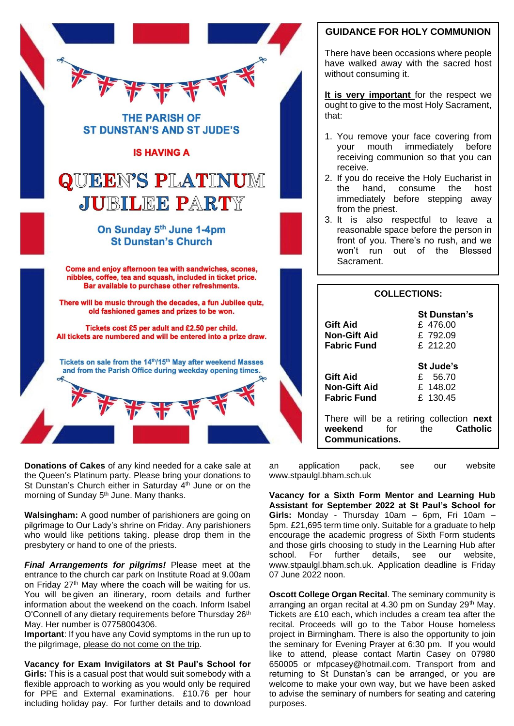

**Donations of Cakes** of any kind needed for a cake sale at the Queen's Platinum party. Please bring your donations to St Dunstan's Church either in Saturday 4<sup>th</sup> June or on the morning of Sunday 5<sup>th</sup> June. Many thanks.

**Walsingham:** A good number of parishioners are going on pilgrimage to Our Lady's shrine on Friday. Any parishioners who would like petitions taking. please drop them in the presbytery or hand to one of the priests.

*Final Arrangements for pilgrims!* Please meet at the entrance to the church car park on Institute Road at 9.00am on Friday 27th May where the coach will be waiting for us. You will be given an itinerary, room details and further information about the weekend on the coach. Inform Isabel O'Connell of any dietary requirements before Thursday 26<sup>th</sup> May. Her number is 07758004306.

**Important**: If you have any Covid symptoms in the run up to the pilgrimage, please do not come on the trip.

**Vacancy for Exam Invigilators at St Paul's School for Girls:** This is a casual post that would suit somebody with a flexible approach to working as you would only be required for PPE and External examinations. £10.76 per hour including holiday pay. For further details and to download

## **GUIDANCE FOR HOLY COMMUNION**

There have been occasions where people have walked away with the sacred host without consuming it.

**It is very important** for the respect we ought to give to the most Holy Sacrament, that:

- 1. You remove your face covering from your mouth immediately before receiving communion so that you can receive.
- 2. If you do receive the Holy Eucharist in the hand, consume the host immediately before stepping away from the priest.
- 3. It is also respectful to leave a reasonable space before the person in front of you. There's no rush, and we won't run out of the Blessed Sacrament.

| <b>COLLECTIONS:</b>                                          |                                                                     |  |  |
|--------------------------------------------------------------|---------------------------------------------------------------------|--|--|
| <b>Gift Aid</b><br><b>Non-Gift Aid</b><br><b>Fabric Fund</b> | <b>St Dunstan's</b><br>£ 476.00<br>£792.09<br>£ 212.20              |  |  |
| <b>Gift Aid</b><br><b>Non-Gift Aid</b><br><b>Fabric Fund</b> | St Jude's<br>£ 56.70<br>£148.02<br>£ 130.45                         |  |  |
| weekend<br>Communications.                                   | There will be a retiring collection next<br>for the <b>Catholic</b> |  |  |

an application pack, see our website www.stpaulgl.bham.sch.uk

**Vacancy for a Sixth Form Mentor and Learning Hub Assistant for September 2022 at St Paul's School for Girls:** Monday - Thursday 10am – 6pm, Fri 10am – 5pm. £21,695 term time only. Suitable for a graduate to help encourage the academic progress of Sixth Form students and those girls choosing to study in the Learning Hub after school. For further details, see our website, www.stpaulgl.bham.sch.uk. Application deadline is Friday 07 June 2022 noon.

**Oscott College Organ Recital**. The seminary community is arranging an organ recital at 4.30 pm on Sunday 29th May. Tickets are £10 each, which includes a cream tea after the recital. Proceeds will go to the Tabor House homeless project in Birmingham. There is also the opportunity to join the seminary for Evening Prayer at 6:30 pm. If you would like to attend, please contact Martin Casey on 07980 650005 or [mfpcasey@hotmail.com.](mailto:mfpcasey@hotmail.com) Transport from and returning to St Dunstan's can be arranged, or you are welcome to make your own way, but we have been asked to advise the seminary of numbers for seating and catering purposes.